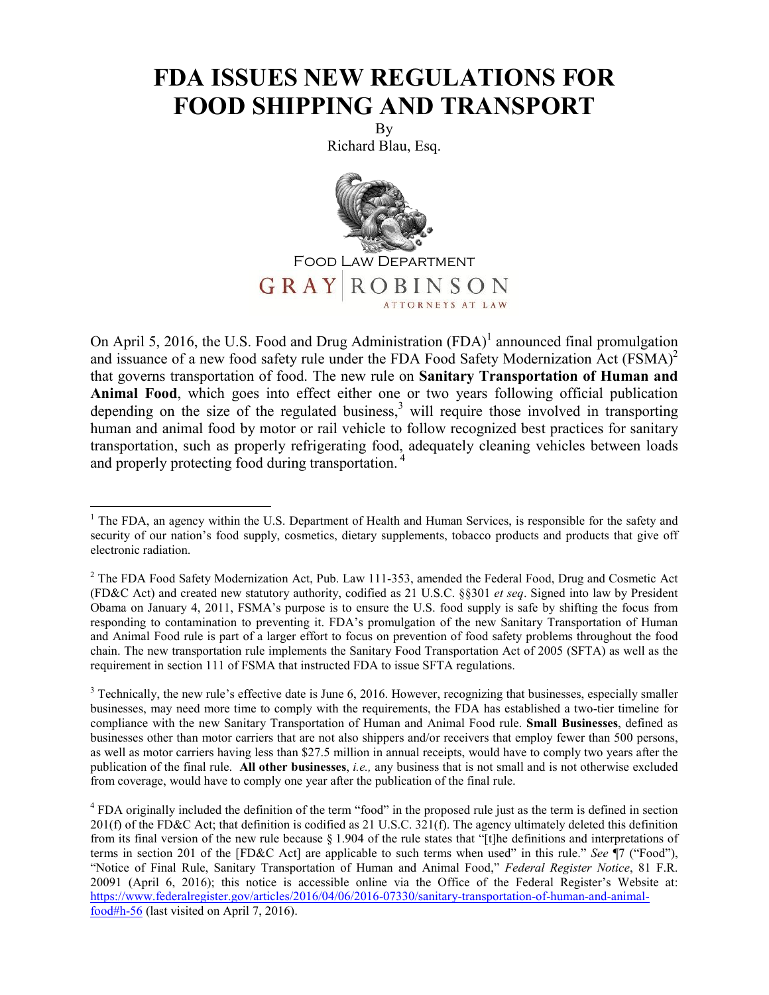## **FDA ISSUES NEW REGULATIONS FOR FOOD SHIPPING AND TRANSPORT**

By Richard Blau, Esq.



On April 5, 2016, the U.S. Food and Drug Administration  $(FDA)^{1}$  announced final promulgation and issuance of a new food safety rule under the FDA Food Safety Modernization Act (FSMA)<sup>2</sup> that governs transportation of food. The new rule on **Sanitary Transportation of Human and Animal Food**, which goes into effect either one or two years following official publication depending on the size of the regulated business,<sup>3</sup> will require those involved in transporting human and animal food by motor or rail vehicle to follow recognized best practices for sanitary transportation, such as properly refrigerating food, adequately cleaning vehicles between loads and properly protecting food during transportation. <sup>4</sup>

<sup>&</sup>lt;sup>1</sup> The FDA, an agency within the U.S. Department of Health and Human Services, is responsible for the safety and security of our nation's food supply, cosmetics, dietary supplements, tobacco products and products that give off electronic radiation.

<sup>&</sup>lt;sup>2</sup> The FDA Food Safety Modernization Act, Pub. Law 111-353, amended the Federal Food, Drug and Cosmetic Act (FD&C Act) and created new statutory authority, codified as 21 U.S.C. §§301 *et seq*. Signed into law by President Obama on January 4, 2011, FSMA's purpose is to ensure the U.S. food supply is safe by shifting the focus from responding to contamination to preventing it. FDA's promulgation of the new Sanitary Transportation of Human and Animal Food rule is part of a larger effort to focus on prevention of food safety problems throughout the food chain. The new transportation rule implements the Sanitary Food Transportation Act of 2005 (SFTA) as well as the requirement in section 111 of FSMA that instructed FDA to issue SFTA regulations.

 $3$  Technically, the new rule's effective date is June 6, 2016. However, recognizing that businesses, especially smaller businesses, may need more time to comply with the requirements, the FDA has established a two-tier timeline for compliance with the new Sanitary Transportation of Human and Animal Food rule. **Small Businesses**, defined as businesses other than motor carriers that are not also shippers and/or receivers that employ fewer than 500 persons, as well as motor carriers having less than \$27.5 million in annual receipts, would have to comply two years after the publication of the final rule. **All other businesses**, *i.e.,* any business that is not small and is not otherwise excluded from coverage, would have to comply one year after the publication of the final rule.

<sup>&</sup>lt;sup>4</sup> FDA originally included the definition of the term "food" in the proposed rule just as the term is defined in section 201(f) of the FD&C Act; that definition is codified as 21 U.S.C. 321(f). The agency ultimately deleted this definition from its final version of the new rule because § 1.904 of the rule states that "[t]he definitions and interpretations of terms in section 201 of the [FD&C Act] are applicable to such terms when used" in this rule." *See* ¶7 ("Food"), "Notice of Final Rule, Sanitary Transportation of Human and Animal Food," *Federal Register Notice*, 81 F.R. 20091 (April 6, 2016); this notice is accessible online via the Office of the Federal Register's Website at: https://www.federalregister.gov/articles/2016/04/06/2016-07330/sanitary-transportation-of-human-and-animalfood#h-56 (last visited on April 7, 2016).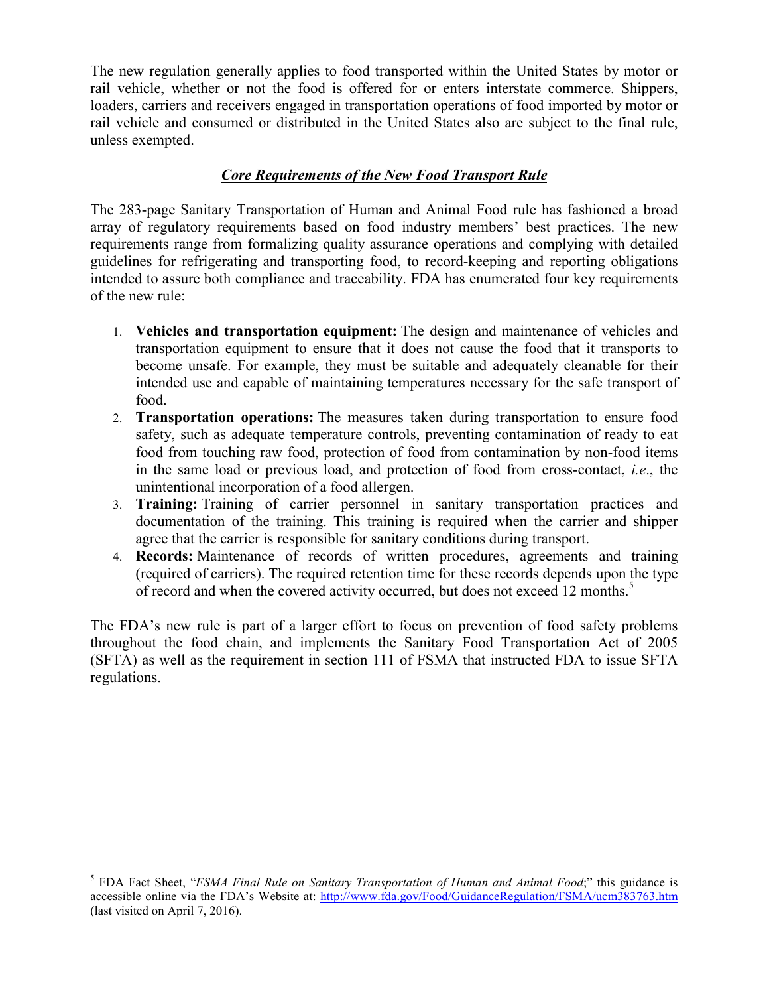The new regulation generally applies to food transported within the United States by motor or rail vehicle, whether or not the food is offered for or enters interstate commerce. Shippers, loaders, carriers and receivers engaged in transportation operations of food imported by motor or rail vehicle and consumed or distributed in the United States also are subject to the final rule, unless exempted.

## *Core Requirements of the New Food Transport Rule*

The 283-page Sanitary Transportation of Human and Animal Food rule has fashioned a broad array of regulatory requirements based on food industry members' best practices. The new requirements range from formalizing quality assurance operations and complying with detailed guidelines for refrigerating and transporting food, to record-keeping and reporting obligations intended to assure both compliance and traceability. FDA has enumerated four key requirements of the new rule:

- 1. **Vehicles and transportation equipment:** The design and maintenance of vehicles and transportation equipment to ensure that it does not cause the food that it transports to become unsafe. For example, they must be suitable and adequately cleanable for their intended use and capable of maintaining temperatures necessary for the safe transport of food.
- 2. **Transportation operations:** The measures taken during transportation to ensure food safety, such as adequate temperature controls, preventing contamination of ready to eat food from touching raw food, protection of food from contamination by non-food items in the same load or previous load, and protection of food from cross-contact, *i.e*., the unintentional incorporation of a food allergen.
- 3. **Training:** Training of carrier personnel in sanitary transportation practices and documentation of the training. This training is required when the carrier and shipper agree that the carrier is responsible for sanitary conditions during transport.
- 4. **Records:** Maintenance of records of written procedures, agreements and training (required of carriers). The required retention time for these records depends upon the type of record and when the covered activity occurred, but does not exceed 12 months.<sup>5</sup>

The FDA's new rule is part of a larger effort to focus on prevention of food safety problems throughout the food chain, and implements the Sanitary Food Transportation Act of 2005 (SFTA) as well as the requirement in section 111 of FSMA that instructed FDA to issue SFTA regulations.

<sup>&</sup>lt;sup>5</sup> FDA Fact Sheet, "*FSMA Final Rule on Sanitary Transportation of Human and Animal Food*;" this guidance is accessible online via the FDA's Website at: http://www.fda.gov/Food/GuidanceRegulation/FSMA/ucm383763.htm (last visited on April 7, 2016).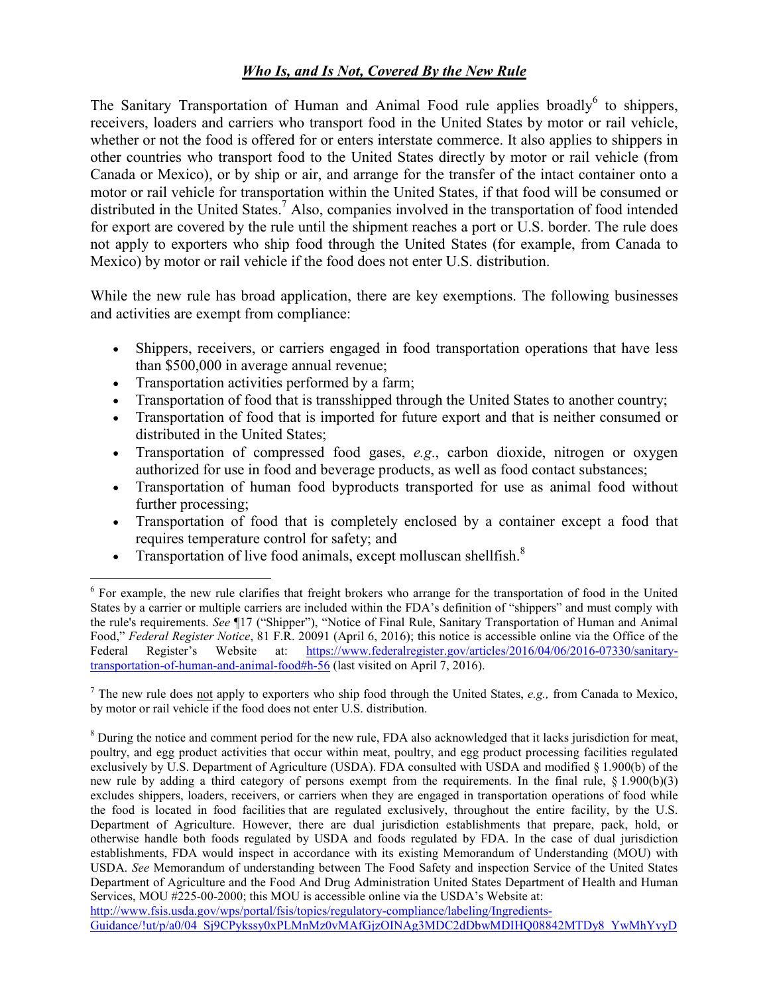## *Who Is, and Is Not, Covered By the New Rule*

The Sanitary Transportation of Human and Animal Food rule applies broadly<sup>6</sup> to shippers, receivers, loaders and carriers who transport food in the United States by motor or rail vehicle, whether or not the food is offered for or enters interstate commerce. It also applies to shippers in other countries who transport food to the United States directly by motor or rail vehicle (from Canada or Mexico), or by ship or air, and arrange for the transfer of the intact container onto a motor or rail vehicle for transportation within the United States, if that food will be consumed or distributed in the United States.<sup>7</sup> Also, companies involved in the transportation of food intended for export are covered by the rule until the shipment reaches a port or U.S. border. The rule does not apply to exporters who ship food through the United States (for example, from Canada to Mexico) by motor or rail vehicle if the food does not enter U.S. distribution.

While the new rule has broad application, there are key exemptions. The following businesses and activities are exempt from compliance:

- Shippers, receivers, or carriers engaged in food transportation operations that have less than \$500,000 in average annual revenue;
- Transportation activities performed by a farm;
- Transportation of food that is transshipped through the United States to another country;
- Transportation of food that is imported for future export and that is neither consumed or distributed in the United States;
- Transportation of compressed food gases, *e.g*., carbon dioxide, nitrogen or oxygen authorized for use in food and beverage products, as well as food contact substances;
- Transportation of human food byproducts transported for use as animal food without further processing;
- Transportation of food that is completely enclosed by a container except a food that requires temperature control for safety; and
- Transportation of live food animals, except molluscan shellfish. $8$

http://www.fsis.usda.gov/wps/portal/fsis/topics/regulatory-compliance/labeling/Ingredients-

<sup>&</sup>lt;sup>6</sup> For example, the new rule clarifies that freight brokers who arrange for the transportation of food in the United States by a carrier or multiple carriers are included within the FDA's definition of "shippers" and must comply with the rule's requirements. *See* ¶17 ("Shipper"), "Notice of Final Rule, Sanitary Transportation of Human and Animal Food," *Federal Register Notice*, 81 F.R. 20091 (April 6, 2016); this notice is accessible online via the Office of the Federal Register's Website at: https://www.federalregister.gov/articles/2016/04/06/2016-07330/sanitarytransportation-of-human-and-animal-food#h-56 (last visited on April 7, 2016).

<sup>7</sup> The new rule does not apply to exporters who ship food through the United States, *e.g.,* from Canada to Mexico, by motor or rail vehicle if the food does not enter U.S. distribution.

<sup>8</sup> During the notice and comment period for the new rule, FDA also acknowledged that it lacks jurisdiction for meat, poultry, and egg product activities that occur within meat, poultry, and egg product processing facilities regulated exclusively by U.S. Department of Agriculture (USDA). FDA consulted with USDA and modified § 1.900(b) of the new rule by adding a third category of persons exempt from the requirements. In the final rule, § 1.900(b)(3) excludes shippers, loaders, receivers, or carriers when they are engaged in transportation operations of food while the food is located in food facilities that are regulated exclusively, throughout the entire facility, by the U.S. Department of Agriculture. However, there are dual jurisdiction establishments that prepare, pack, hold, or otherwise handle both foods regulated by USDA and foods regulated by FDA. In the case of dual jurisdiction establishments, FDA would inspect in accordance with its existing Memorandum of Understanding (MOU) with USDA. *See* Memorandum of understanding between The Food Safety and inspection Service of the United States Department of Agriculture and the Food And Drug Administration United States Department of Health and Human Services, MOU #225-00-2000; this MOU is accessible online via the USDA's Website at:

Guidance/!ut/p/a0/04\_Sj9CPykssy0xPLMnMz0vMAfGjzOINAg3MDC2dDbwMDIHQ08842MTDy8\_YwMhYvyD